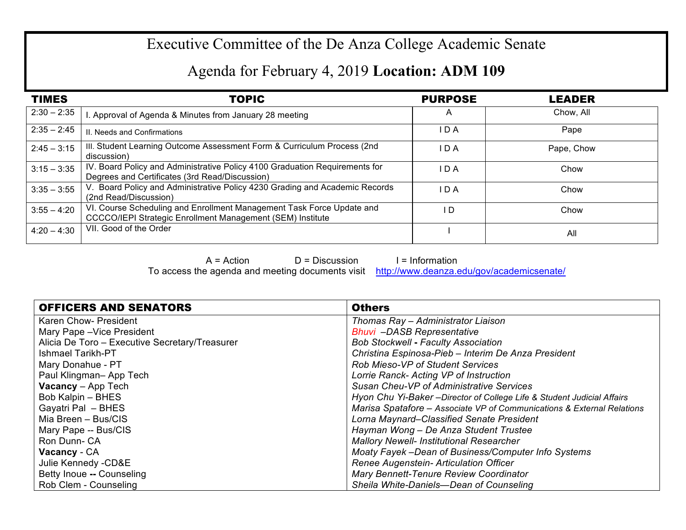## Executive Committee of the De Anza College Academic Senate

## Agenda for February 4, 2019 **Location: ADM 109**

| <b>TIMES</b>  | <b>TOPIC</b>                                                                                                                        | <b>PURPOSE</b> | <b>LEADER</b> |
|---------------|-------------------------------------------------------------------------------------------------------------------------------------|----------------|---------------|
| $2:30 - 2:35$ | . Approval of Agenda & Minutes from January 28 meeting                                                                              | A              | Chow, All     |
| $2:35 - 2:45$ | II. Needs and Confirmations                                                                                                         | I D A          | Pape          |
| $2:45 - 3:15$ | III. Student Learning Outcome Assessment Form & Curriculum Process (2nd<br>discussion)                                              | I D A          | Pape, Chow    |
| $3:15 - 3:35$ | IV. Board Policy and Administrative Policy 4100 Graduation Requirements for<br>Degrees and Certificates (3rd Read/Discussion)       | I D A          | Chow          |
| $3:35 - 3:55$ | V. Board Policy and Administrative Policy 4230 Grading and Academic Records<br>(2nd Read/Discussion)                                | I D A          | Chow          |
| $3:55 - 4:20$ | VI. Course Scheduling and Enrollment Management Task Force Update and<br>CCCCO/IEPI Strategic Enrollment Management (SEM) Institute | l D            | Chow          |
| $4:20 - 4:30$ | VII. Good of the Order                                                                                                              |                | All           |

 $A = Action$   $D = Discussion$  I = Information To access the agenda and meeting documents visit http://www.deanza.edu/gov/academicsenate/

| <b>OFFICERS AND SENATORS</b>                   | <b>Others</b>                                                           |  |
|------------------------------------------------|-------------------------------------------------------------------------|--|
| Karen Chow- President                          | Thomas Ray - Administrator Liaison                                      |  |
| Mary Pape - Vice President                     | <b>Bhuvi</b> -DASB Representative                                       |  |
| Alicia De Toro - Executive Secretary/Treasurer | <b>Bob Stockwell - Faculty Association</b>                              |  |
| Ishmael Tarikh-PT                              | Christina Espinosa-Pieb - Interim De Anza President                     |  |
| Mary Donahue - PT                              | <b>Rob Mieso-VP of Student Services</b>                                 |  |
| Paul Klingman-App Tech                         | Lorrie Ranck- Acting VP of Instruction                                  |  |
| <b>Vacancy</b> - App Tech                      | Susan Cheu-VP of Administrative Services                                |  |
| Bob Kalpin - BHES                              | Hyon Chu Yi-Baker - Director of College Life & Student Judicial Affairs |  |
| Gayatri Pal - BHES                             | Marisa Spatafore - Associate VP of Communications & External Relations  |  |
| Mia Breen - Bus/CIS                            | Lorna Maynard–Classified Senate President                               |  |
| Mary Pape -- Bus/CIS                           | Hayman Wong - De Anza Student Trustee                                   |  |
| Ron Dunn-CA                                    | <b>Mallory Newell- Institutional Researcher</b>                         |  |
| Vacancy - CA                                   | Moaty Fayek – Dean of Business/Computer Info Systems                    |  |
| Julie Kennedy -CD&E                            | Renee Augenstein- Articulation Officer                                  |  |
| Betty Inoue -- Counseling                      | Mary Bennett-Tenure Review Coordinator                                  |  |
| Rob Clem - Counseling                          | Sheila White-Daniels-Dean of Counseling                                 |  |